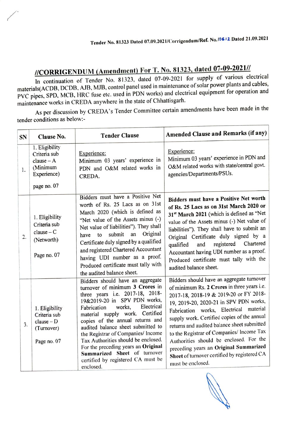## /CORRIGENDUM(Amendment) For T. No. 81323,dated 07-09-2021//

In continuation of Tender No. 81323, dated 07-09-2021 for supply of various electrical materials(ACDB, DCDB, AJB, MJB, control panel used in maintenance of solar power plants and cables, PVC pipes, SPD, MCB, HRC fuse etc. used in PDN works) and electrical equipment for operation and maintenance works in CREDA anywhere in the state of Chhattisgarh.

As per discussion by CREDA's Tender Committee certain amendments have been made in the tender conditions as below:-

| SN | Clause No.                                                                               | <b>Tender Clause</b>                                                                                                                                                                                                                                                                                                                                                                                                                                                                              | Amended Clause and Remarks (if any)                                                                                                                                                                                                                                                                                                                                                                                                                                                                                         |
|----|------------------------------------------------------------------------------------------|---------------------------------------------------------------------------------------------------------------------------------------------------------------------------------------------------------------------------------------------------------------------------------------------------------------------------------------------------------------------------------------------------------------------------------------------------------------------------------------------------|-----------------------------------------------------------------------------------------------------------------------------------------------------------------------------------------------------------------------------------------------------------------------------------------------------------------------------------------------------------------------------------------------------------------------------------------------------------------------------------------------------------------------------|
| 1. | 1. Eligibility<br>Criteria sub<br>$clause - A$<br>(Minimum<br>Experience)<br>page no. 07 | Experience:<br>Minimum 03 years' experience in<br>PDN and O&M related works in<br>CREDA.                                                                                                                                                                                                                                                                                                                                                                                                          | Experience:<br>Minimum 03 years' experience in PDN and<br>O&M related works with state/central govt.<br>agencies/Departments/PSUs.                                                                                                                                                                                                                                                                                                                                                                                          |
| 2. | 1. Eligibility<br>Criteria sub<br>$clause - C$<br>(Networth)<br>Page no. 07              | Bidders must have a Positive Net<br>worth of Rs. 25 Lacs as on 31st<br>March 2020 (which is defined as<br>'Net value of the Assets minus (-)<br>Net value of liabilities"). They shall<br>Original<br>submit<br>an<br>have to<br>Certificate duly signed by a qualified<br>and registered Chartered Accountant<br>having UDI number as a proof.<br>Produced certificate must tally with<br>the audited balance sheet.                                                                             | Bidders must have a Positive Net worth<br>of Rs. 25 Lacs as on 31st March 2020 or<br>31st March 2021 (which is defined as "Net<br>value of the Assets minus (-) Net value of<br>liabilities"). They shall have to submit an<br>Original Certificate duly signed by a<br>registered Chartered<br>and<br>qualified<br>Accountant having UDI number as a proof.<br>Produced certificate must tally with the<br>audited balance sheet.                                                                                          |
| 3. | 1. Eligibility<br>Criteria sub<br>$clause - D$<br>(Turnover)<br>Page no. 07              | Bidders should have an aggregate<br>turnover of minimum 3 Crores in<br>three years i.e. 2017-18, 2018-<br>19&2019-20 in SPV PDN works,<br>Electrical<br>works,<br>Fabrication<br>material supply work. Certified<br>copies of the annual returns and<br>audited balance sheet submitted to<br>the Registrar of Companies/ Income<br>Tax Authorities should be enclosed.<br>For the preceding years an Original<br>Summarized Sheet of turnover<br>certified by registered CA must be<br>enclosed. | Bidders should have an aggregate turnover<br>of minimum Rs. 2 Crores in three years i.e.<br>2017-18, 2018-19 & 2019-20 or FY 2018-<br>19, 2019-20, 2020-21 in SPV PDN works,<br>Fabrication works, Electrical material<br>supply work. Certified copies of the annual<br>returns and audited balance sheet submitted<br>to the Registrar of Companies/ Income Tax<br>Authorities should be enclosed. For the<br>preceding years an Original Summarized<br>Sheet of turnover certified by registered CA<br>must be enclosed. |